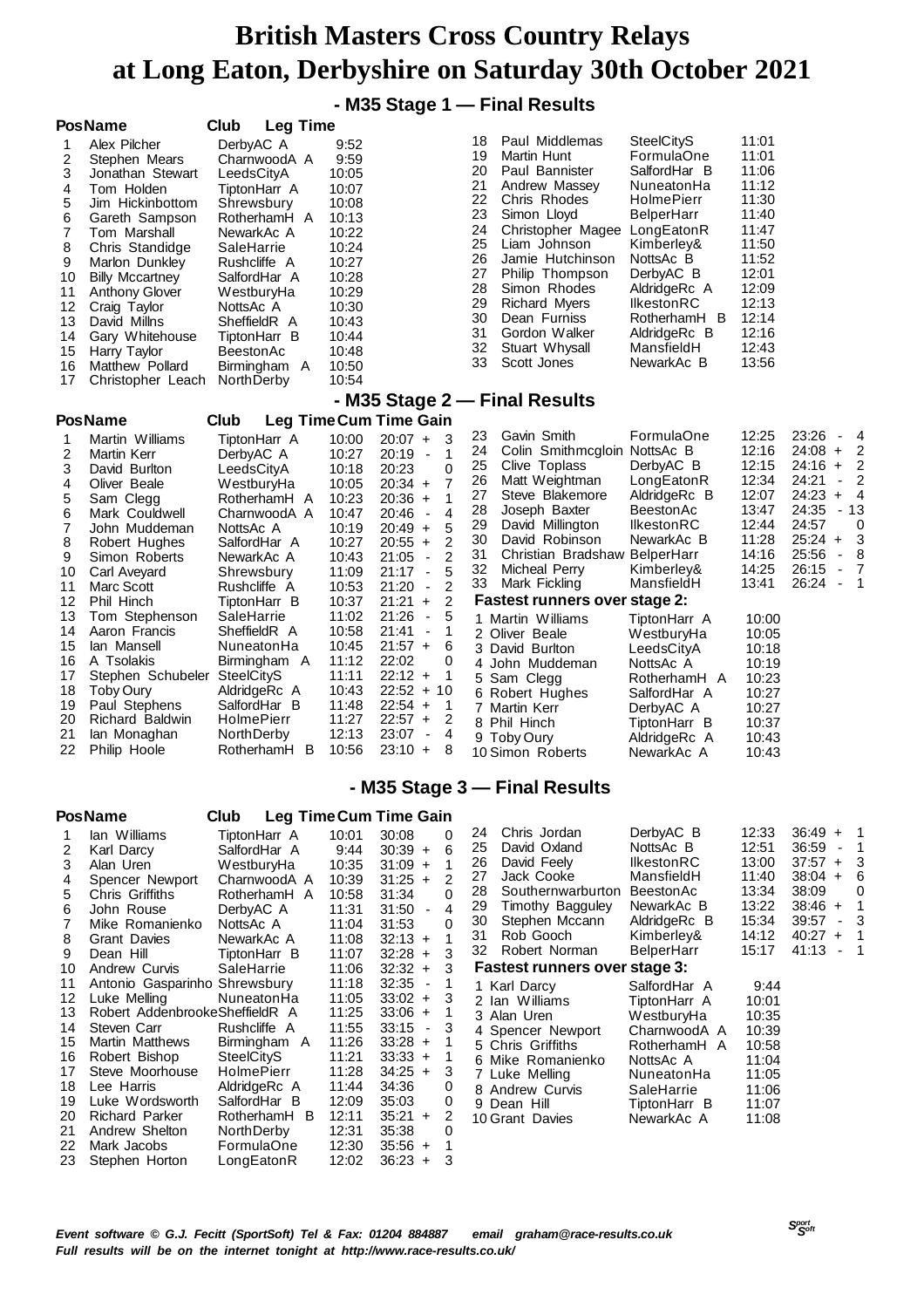## **- M35 Stage 1 — Final Results**

|                              | <b>PosName</b>                   | Club<br><b>Leg Time</b>                |                |                                                     |                                                             |                                 |                |                                                               |
|------------------------------|----------------------------------|----------------------------------------|----------------|-----------------------------------------------------|-------------------------------------------------------------|---------------------------------|----------------|---------------------------------------------------------------|
| 1                            | Alex Pilcher                     | DerbyAC A                              | 9:52           |                                                     | Paul Middlemas<br>18                                        | <b>SteelCityS</b>               | 11:01          |                                                               |
| 2                            | Stephen Mears                    | CharnwoodA A                           | 9:59           |                                                     | 19<br>Martin Hunt                                           | FormulaOne                      | 11:01          |                                                               |
| 3                            | Jonathan Stewart                 | LeedsCityA                             | 10:05          |                                                     | 20<br>Paul Bannister                                        | SalfordHar B                    | 11:06          |                                                               |
| 4                            | Tom Holden                       | TiptonHarr A                           | 10:07          |                                                     | 21<br>Andrew Massey<br>22                                   | NuneatonHa                      | 11:12          |                                                               |
| 5                            | Jim Hickinbottom                 | Shrewsbury                             | 10:08          |                                                     | Chris Rhodes<br>23<br>Simon Lloyd                           | HolmePierr<br><b>BelperHarr</b> | 11:30<br>11:40 |                                                               |
| 6                            | Gareth Sampson                   | RotherhamH A                           | 10:13          |                                                     | 24<br>Christopher Magee LongEatonR                          |                                 | 11:47          |                                                               |
| $\overline{\mathbf{7}}$<br>8 | Tom Marshall<br>Chris Standidge  | NewarkAc A<br>SaleHarrie               | 10:22<br>10:24 |                                                     | 25<br>Liam Johnson                                          | Kimberley&                      | 11:50          |                                                               |
| 9                            | Marlon Dunkley                   | Rushcliffe A                           | 10:27          |                                                     | 26<br>Jamie Hutchinson                                      | NottsAc B                       | 11:52          |                                                               |
| 10                           | <b>Billy Mccartney</b>           | SalfordHar A                           | 10:28          |                                                     | 27<br>Philip Thompson                                       | DerbyAC B                       | 12:01          |                                                               |
| 11                           | <b>Anthony Glover</b>            | WestburyHa                             | 10:29          |                                                     | 28<br>Simon Rhodes                                          | AldridgeRc A                    | 12:09          |                                                               |
| 12                           | Craig Taylor                     | NottsAc A                              | 10:30          |                                                     | 29<br><b>Richard Myers</b>                                  | IlkestonRC                      | 12:13          |                                                               |
| 13                           | David Millns                     | SheffieldR A                           | 10:43          |                                                     | 30<br>Dean Furniss                                          | RotherhamH B                    | 12:14          |                                                               |
| 14                           | Gary Whitehouse                  | TiptonHarr B                           | 10:44          |                                                     | 31<br>Gordon Walker<br>32                                   | AldridgeRc B<br>MansfieldH      | 12:16<br>12:43 |                                                               |
| 15                           | Harry Taylor                     | BeestonAc                              | 10:48          |                                                     | Stuart Whysall<br>33<br>Scott Jones                         | NewarkAc B                      | 13:56          |                                                               |
| 16                           | Matthew Pollard                  | Birmingham A                           | 10:50          |                                                     |                                                             |                                 |                |                                                               |
| 17                           | Christopher Leach                | NorthDerby                             | 10:54          |                                                     |                                                             |                                 |                |                                                               |
|                              | <b>PosName</b>                   |                                        |                | <b>Leg TimeCum Time Gain</b>                        | - M35 Stage 2 - Final Results                               |                                 |                |                                                               |
|                              |                                  | Club                                   | 10:00          |                                                     | 23<br>Gavin Smith                                           | FormulaOne                      | 12:25          | 23:26<br>4<br>$\overline{\phantom{a}}$                        |
| 1<br>2                       | Martin Williams<br>Martin Kerr   | TiptonHarr A<br>DerbyAC A              | 10:27          | $20:07 +$<br>3<br>$20:19 -$<br>1                    | 24<br>Colin Smithmcgloin NottsAc B                          |                                 | 12:16          | $24:08 +$<br>2                                                |
| 3                            | David Burlton                    | LeedsCityA                             | 10:18          | 20:23<br>0                                          | 25<br>Clive Toplass                                         | DerbyAC B                       | 12:15          | 2<br>$24:16 +$                                                |
| 4                            | Oliver Beale                     | WestburyHa                             | 10:05          | $20:34 +$<br>$\overline{7}$                         | 26<br>Matt Weightman                                        | LongEatonR                      | 12:34          | 24:21<br>2<br>$\overline{\phantom{a}}$                        |
| 5                            | Sam Clegg                        | RotherhamH A                           | 10:23          | 1<br>$20:36 +$                                      | Steve Blakemore<br>27                                       | AldridgeRc B                    | 12:07          | 24:23<br>4<br>$\ddot{}$                                       |
| 6                            | Mark Couldwell                   | CharnwoodA A                           | 10:47          | $20:46 -$<br>4                                      | 28<br>Joseph Baxter                                         | BeestonAc                       | 13:47          | 24:35<br>- 13                                                 |
| 7                            | John Muddeman                    | NottsAc A                              | 10:19          | $20:49 +$<br>5                                      | 29<br>David Millington                                      | <b>IlkestonRC</b>               | 12:44          | 24:57<br>0                                                    |
| 8                            | Robert Hughes                    | SalfordHar A                           | 10:27          | $\overline{2}$<br>$20:55 +$                         | 30<br>David Robinson<br>31<br>Christian Bradshaw BelperHarr | NewarkAc B                      | 11:28<br>14:16 | 3<br>$25:24 +$<br>25:56<br>8<br>$\overline{\phantom{a}}$      |
| 9                            | Simon Roberts                    | NewarkAc A                             | 10:43          | $\overline{c}$<br>21:05<br>$\sim$<br>5<br>$21:17 -$ | 32<br>Micheal Perry                                         | Kimberley&                      | 14:25          | 26:15<br>$\overline{\phantom{a}}$<br>7                        |
| 10<br>11                     | Carl Aveyard<br>Marc Scott       | Shrewsbury<br>Rushcliffe A             | 11:09<br>10:53 | 2<br>$21:20 -$                                      | 33<br>Mark Fickling                                         | MansfieldH                      | 13:41          | 26:24<br>1<br>$\overline{\phantom{a}}$                        |
| 12                           | Phil Hinch                       | TiptonHarr B                           | 10:37          | $21:21 +$<br>2                                      | <b>Fastest runners over stage 2:</b>                        |                                 |                |                                                               |
| 13                           | Tom Stephenson                   | SaleHarrie                             | 11:02          | 5<br>$21:26 -$                                      | 1 Martin Williams                                           | TiptonHarr A                    | 10:00          |                                                               |
| 14                           | Aaron Francis                    | SheffieldR A                           | 10:58          | $21:41 -$<br>1                                      | 2 Oliver Beale                                              | WestburyHa                      | 10:05          |                                                               |
| 15                           | lan Mansell                      | NuneatonHa                             | 10:45          | $21:57 +$<br>6                                      | 3 David Burlton                                             | LeedsCityA                      | 10:18          |                                                               |
| 16                           | A Tsolakis                       | Birmingham A                           | 11:12          | 22:02<br>0                                          | 4 John Muddeman                                             | NottsAc A                       | 10:19          |                                                               |
| 17                           | Stephen Schubeler SteelCityS     |                                        | 11:11          | $22:12 +$<br>1                                      | 5<br>Sam Clegg                                              | RotherhamH A                    | 10:23          |                                                               |
| 18<br>19                     | Toby Oury<br>Paul Stephens       | AldridgeRc A<br>SalfordHar B           | 10:43<br>11:48 | $22:52 + 10$<br>$22:54 +$<br>$\mathbf{1}$           | 6 Robert Hughes                                             | SalfordHar A                    | 10:27          |                                                               |
| 20                           | Richard Baldwin                  | <b>HolmePierr</b>                      | 11:27          | $22:57 +$<br>2                                      | 7<br>Martin Kerr<br>8 Phil Hinch                            | DerbyAC A<br>TiptonHarr B       | 10:27<br>10:37 |                                                               |
| 21                           | lan Monaghan                     | NorthDerby                             | 12:13          | 23:07<br>$\blacksquare$<br>$\overline{4}$           | 9 Toby Oury                                                 | AldridgeRc A                    | 10:43          |                                                               |
| 22                           | Philip Hoole                     | RotherhamH B                           | 10:56          | $23:10 +$<br>8                                      | 10 Simon Roberts                                            | NewarkAc A                      | 10:43          |                                                               |
|                              |                                  |                                        |                |                                                     |                                                             |                                 |                |                                                               |
|                              |                                  |                                        |                |                                                     | - M35 Stage 3 – Final Results                               |                                 |                |                                                               |
|                              | <b>PosName</b>                   | Club                                   |                | <b>Leg Time Cum Time Gain</b>                       |                                                             |                                 |                |                                                               |
| 1                            | lan Williams                     | TiptonHarr A                           | 10:01          | 30:08<br>0                                          | Chris Jordan<br>24                                          | DerbyAC B                       | 12:33          | $36:49 +$<br>1                                                |
| 2                            | Karl Darcy                       | SalfordHar A                           | 9:44           | $30:39 +$<br>6                                      | 25<br>David Oxland                                          | NottsAc B                       | 12:51          | 36:59<br>$\sim$<br>1                                          |
| 3                            | Alan Uren                        | WestburyHa                             | 10:35          | $31:09 +$<br>1                                      | 26<br>David Feely                                           | IlkestonRC                      | 13:00          | $37:57 +$<br>3                                                |
| 4                            | Spencer Newport                  | CharnwoodA A                           | 10:39          | 2<br>$31:25 +$                                      | 27<br>Jack Cooke                                            | MansfieldH                      | 11:40          | $38:04 +$<br>6                                                |
| 5                            | <b>Chris Griffiths</b>           | RotherhamH A                           | 10:58          | 31:34<br>0                                          | 28<br>Southernwarburton BeestonAc                           |                                 | 13:34          | 38:09<br>0<br>$38:46 +$                                       |
| 6                            | John Rouse                       | DerbyAC A                              | 11:31          | $31:50 -$<br>4                                      | 29<br>Timothy Bagguley<br>30<br>Stephen Mccann              | NewarkAc B<br>AldridgeRc B      | 13:22<br>15:34 | 1<br>39:57<br>3<br>$\overline{\phantom{a}}$                   |
| 7                            | Mike Romanienko                  | NottsAc A                              | 11:04<br>11:08 | 31:53<br>0<br>$32:13 +$                             | 31<br>Rob Gooch                                             | Kimberley&                      | 14:12          | $40:27 +$<br>1                                                |
| 8<br>9                       | <b>Grant Davies</b><br>Dean Hill | NewarkAc A<br>TiptonHarr B             | 11:07          | 1<br>$32:28 +$<br>3                                 | Robert Norman<br>32                                         | BelperHarr                      | 15:17          | 41:13<br>$\overline{\phantom{1}}$<br>$\overline{\phantom{a}}$ |
| 10                           | Andrew Curvis                    | SaleHarrie                             | 11:06          | $32:32 +$<br>3                                      | <b>Fastest runners over stage 3:</b>                        |                                 |                |                                                               |
| 11                           | Antonio Gasparinho Shrewsbury    |                                        | 11:18          | $32:35 -$<br>1                                      | Karl Darcy<br>1.                                            | SalfordHar A                    | 9:44           |                                                               |
| 12                           | Luke Melling                     | NuneatonHa                             | 11:05          | $33:02 +$<br>3                                      | 2 Ian Williams                                              | TiptonHarr A                    | 10:01          |                                                               |
| 13                           | Robert AddenbrookeSheffieldR A   |                                        | 11:25          | $33:06 +$<br>1                                      | 3<br>Alan Uren                                              | WestburyHa                      | 10:35          |                                                               |
| 14                           | Steven Carr                      | Rushcliffe A                           | 11:55          | $33:15 -$<br>3                                      | 4 Spencer Newport                                           | CharnwoodA A                    | 10:39          |                                                               |
| 15                           | Martin Matthews                  | Birmingham A                           | 11:26          | $33:28 +$<br>1                                      | Chris Griffiths<br>5.                                       | RotherhamH A                    | 10:58          |                                                               |
| 16<br>17                     | Robert Bishop<br>Steve Moorhouse | <b>SteelCityS</b><br><b>HolmePierr</b> | 11:21<br>11:28 | $33:33 +$<br>1<br>$34:25 +$<br>3                    | 6 Mike Romanienko                                           | NottsAc A                       | 11:04          |                                                               |
| 18                           | Lee Harris                       | AldridgeRc A                           | 11:44          | 34:36<br>0                                          | 7 Luke Melling                                              | NuneatonHa                      | 11:05          |                                                               |
| 19                           | Luke Wordsworth                  | SalfordHar B                           | 12:09          | 35:03<br>0                                          | <b>Andrew Curvis</b><br>8<br>9 Dean Hill                    | SaleHarrie<br>TiptonHarr B      | 11:06<br>11:07 |                                                               |
| 20                           | <b>Richard Parker</b>            | RotherhamH B                           | 12:11          | $35:21 +$<br>2                                      | 10 Grant Davies                                             | NewarkAc A                      | 11:08          |                                                               |
| 21                           | Andrew Shelton                   | NorthDerby                             | 12:31          | 35:38<br>0                                          |                                                             |                                 |                |                                                               |

 Mark Jacobs FormulaOne 12:30 35:56 + 1 Stephen Horton LongEatonR 12:02 36:23 + 3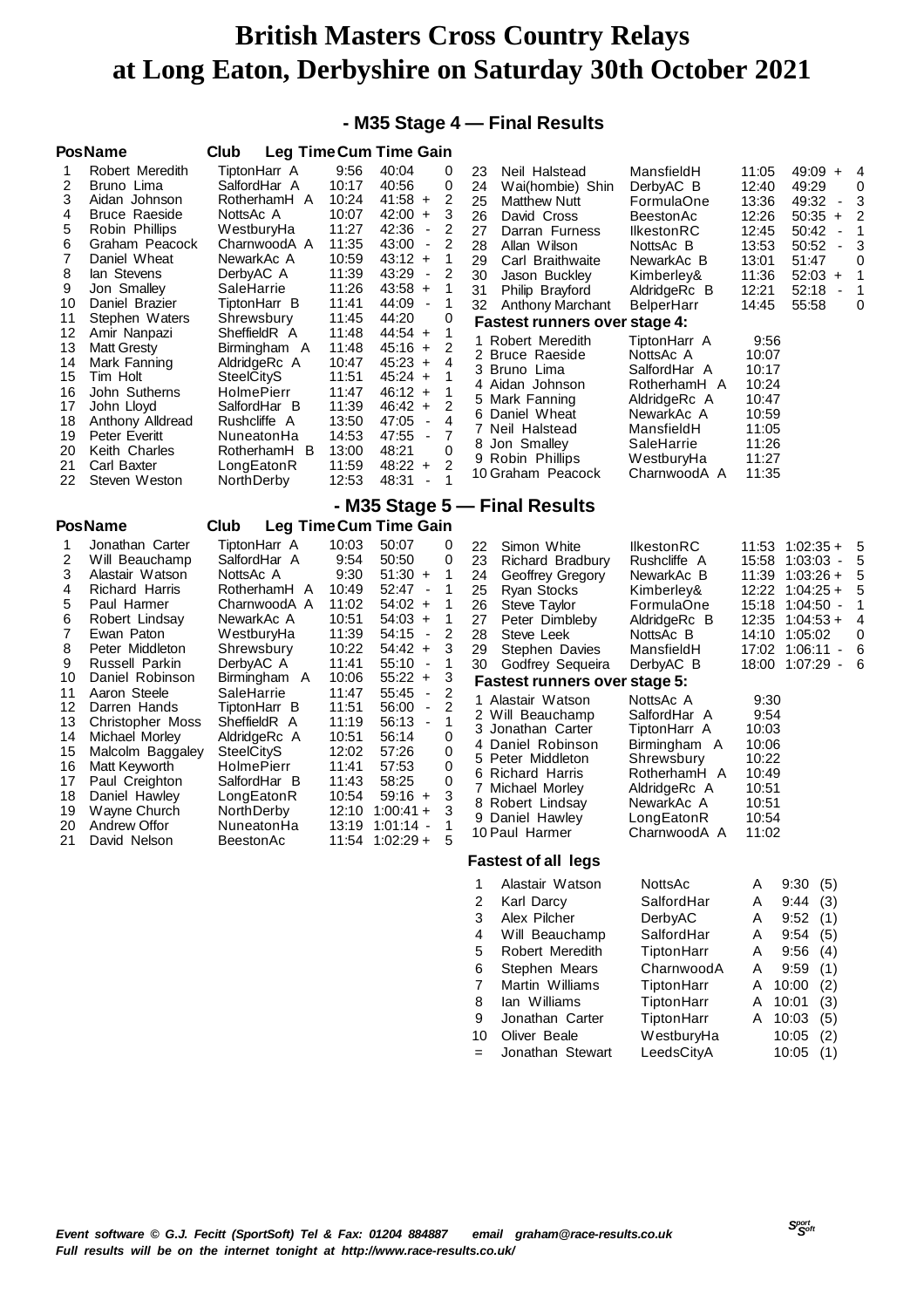### **- M35 Stage 4 — Final Results**

|                                                                                                                          | <b>PosName</b>                                                                                                                                                                                                                                                                                                                                                                             | Club                                                                                                                                                                                                                                                                                                                                               |                                                                                                                                                                                                   | <b>Leg TimeCum Time Gain</b>                                                                                                                                                                                                                                                                                                                                                                                                                                                                                                                                              |                                                                                                                                                                                                                                                                                                                                                                                                                                                                                       |                                                                                                                                                                                                                                                                                                     |                                                                                                                                                                                 |                                                                                                                                                                                                                                           |                                                             |
|--------------------------------------------------------------------------------------------------------------------------|--------------------------------------------------------------------------------------------------------------------------------------------------------------------------------------------------------------------------------------------------------------------------------------------------------------------------------------------------------------------------------------------|----------------------------------------------------------------------------------------------------------------------------------------------------------------------------------------------------------------------------------------------------------------------------------------------------------------------------------------------------|---------------------------------------------------------------------------------------------------------------------------------------------------------------------------------------------------|---------------------------------------------------------------------------------------------------------------------------------------------------------------------------------------------------------------------------------------------------------------------------------------------------------------------------------------------------------------------------------------------------------------------------------------------------------------------------------------------------------------------------------------------------------------------------|---------------------------------------------------------------------------------------------------------------------------------------------------------------------------------------------------------------------------------------------------------------------------------------------------------------------------------------------------------------------------------------------------------------------------------------------------------------------------------------|-----------------------------------------------------------------------------------------------------------------------------------------------------------------------------------------------------------------------------------------------------------------------------------------------------|---------------------------------------------------------------------------------------------------------------------------------------------------------------------------------|-------------------------------------------------------------------------------------------------------------------------------------------------------------------------------------------------------------------------------------------|-------------------------------------------------------------|
| 1<br>2<br>3<br>4<br>5<br>6<br>7<br>8<br>9<br>10<br>11<br>12<br>13<br>14<br>15<br>16<br>17<br>18<br>19<br>20<br>21<br>22  | Robert Meredith<br>Bruno Lima<br>Aidan Johnson<br><b>Bruce Raeside</b><br>Robin Phillips<br>Graham Peacock<br>Daniel Wheat<br>lan Stevens<br>Jon Smalley<br>Daniel Brazier<br>Stephen Waters<br>Amir Nanpazi<br><b>Matt Gresty</b><br>Mark Fanning<br>Tim Holt<br>John Sutherns<br>John Lloyd<br>Anthony Alldread<br><b>Peter Everitt</b><br>Keith Charles<br>Carl Baxter<br>Steven Weston | TiptonHarr A<br>SalfordHar A<br>RotherhamH A<br>NottsAc A<br>WestburyHa<br>CharnwoodA A<br>NewarkAc A<br>DerbyAC A<br>SaleHarrie<br>TiptonHarr B<br>Shrewsbury<br>SheffieldR A<br>Birmingham A<br>AldridgeRc A<br><b>SteelCityS</b><br><b>HolmePierr</b><br>SalfordHar B<br>Rushcliffe A<br>NuneatonHa<br>RotherhamH B<br>LongEatonR<br>NorthDerby | 9:56<br>10:17<br>10:24<br>10:07<br>11:27<br>11:35<br>10:59<br>11:39<br>11:26<br>11:41<br>11:45<br>11:48<br>11:48<br>10:47<br>11:51<br>11:47<br>11:39<br>13:50<br>14:53<br>13:00<br>11:59<br>12:53 | 40:04<br>0<br>40:56<br>0<br>2<br>$41:58 +$<br>3<br>42:00<br>$+$<br>42:36<br>2<br>$\blacksquare$<br>43:00<br>2<br>$\overline{\phantom{a}}$<br>$43:12 +$<br>$\mathbf{1}$<br>43:29<br>2<br>$\blacksquare$<br>$43:58 +$<br>$\mathbf{1}$<br>$\mathbf{1}$<br>44:09<br>$\overline{\phantom{a}}$<br>44:20<br>0<br>1<br>$44:54 +$<br>2<br>$45:16 +$<br>$45:23 +$<br>4<br>$45:24 +$<br>1<br>$46:12 +$<br>1<br>$\overline{2}$<br>$46:42 +$<br>47:05<br>4<br>$\overline{\phantom{a}}$<br>47:55<br>7<br>$\blacksquare$<br>48:21<br>0<br>$48:22 +$<br>2<br>48:31<br>1<br>$\overline{a}$ | 23<br>Neil Halstead<br>24<br>Wai(hombie) Shin<br>25<br><b>Matthew Nutt</b><br>26<br>David Cross<br>27<br>Darran Furness<br>28<br>Allan Wilson<br>29<br>Carl Braithwaite<br>30<br>Jason Buckley<br>31<br>Philip Brayford<br>32<br>Anthony Marchant<br><b>Fastest runners over stage 4:</b><br>1 Robert Meredith<br>2 Bruce Raeside<br>3 Bruno Lima<br>4 Aidan Johnson<br>5 Mark Fanning<br>6 Daniel Wheat<br>7 Neil Halstead<br>8 Jon Smalley<br>9 Robin Phillips<br>10 Graham Peacock | MansfieldH<br>DerbyAC B<br>FormulaOne<br>BeestonAc<br><b>IlkestonRC</b><br>NottsAc B<br>NewarkAc B<br>Kimberley&<br>AldridgeRc B<br>BelperHarr<br>TiptonHarr A<br>NottsAc A<br>SalfordHar A<br>RotherhamH A<br>AldridgeRc A<br>NewarkAc A<br>MansfieldH<br>SaleHarrie<br>WestburyHa<br>CharnwoodA A | 11:05<br>12:40<br>13:36<br>12:26<br>12:45<br>13:53<br>13:01<br>11:36<br>12:21<br>14:45<br>9:56<br>10:07<br>10:17<br>10:24<br>10:47<br>10:59<br>11:05<br>11:26<br>11:27<br>11:35 | 49:09 +<br>49:29<br>49:32<br>$\overline{\phantom{a}}$<br>$50:35 +$<br>50:42<br>÷,<br>50:52<br>$\blacksquare$<br>51:47<br>$52:03 +$<br>52:18<br>$\blacksquare$<br>55:58                                                                    | 4<br>0<br>3<br>$\overline{c}$<br>1<br>3<br>0<br>1<br>1<br>0 |
|                                                                                                                          |                                                                                                                                                                                                                                                                                                                                                                                            |                                                                                                                                                                                                                                                                                                                                                    |                                                                                                                                                                                                   |                                                                                                                                                                                                                                                                                                                                                                                                                                                                                                                                                                           | - M35 Stage 5 - Final Results                                                                                                                                                                                                                                                                                                                                                                                                                                                         |                                                                                                                                                                                                                                                                                                     |                                                                                                                                                                                 |                                                                                                                                                                                                                                           |                                                             |
|                                                                                                                          | <b>PosName</b>                                                                                                                                                                                                                                                                                                                                                                             | Club                                                                                                                                                                                                                                                                                                                                               |                                                                                                                                                                                                   | <b>Leg Time Cum Time Gain</b>                                                                                                                                                                                                                                                                                                                                                                                                                                                                                                                                             |                                                                                                                                                                                                                                                                                                                                                                                                                                                                                       |                                                                                                                                                                                                                                                                                                     |                                                                                                                                                                                 |                                                                                                                                                                                                                                           |                                                             |
| 1<br>2<br>3<br>4<br>5<br>6<br>$\overline{7}$<br>8<br>9<br>10<br>11<br>12<br>13<br>14<br>15<br>16<br>17<br>18<br>19<br>20 | Jonathan Carter<br>Will Beauchamp<br>Alastair Watson<br><b>Richard Harris</b><br>Paul Harmer<br>Robert Lindsay<br>Ewan Paton<br>Peter Middleton<br>Russell Parkin<br>Daniel Robinson<br>Aaron Steele<br>Darren Hands<br><b>Christopher Moss</b><br>Michael Morley<br>Malcolm Baggaley<br>Matt Keyworth<br>Paul Creighton<br>Daniel Hawley<br>Wayne Church<br>Andrew Offor                  | TiptonHarr A<br>SalfordHar A<br>NottsAc A<br>RotherhamH A<br>CharnwoodA A<br>NewarkAc A<br>WestburyHa<br>Shrewsbury<br>DerbyAC A<br>Birmingham A<br>SaleHarrie<br>TiptonHarr B<br>SheffieldR A<br>AldridgeRc A<br><b>SteelCityS</b><br><b>HolmePierr</b><br>SalfordHar B<br>LongEatonR<br>NorthDerby<br>NuneatonHa                                 | 10:03<br>9:54<br>9:30<br>10:49<br>11:02<br>10:51<br>11:39<br>10:22<br>11:41<br>10:06<br>11:47<br>11:51<br>11:19<br>10:51<br>12:02<br>11:41<br>11:43<br>10:54<br>12:10<br>13:19                    | 50:07<br>0<br>0<br>50:50<br>$51:30 +$<br>1<br>52:47<br>1<br>$\overline{\phantom{a}}$<br>$54:02 +$<br>1<br>$\mathbf{1}$<br>$54:03 +$<br>$\overline{2}$<br>54:15<br>$\overline{\phantom{a}}$<br>$54:42 +$<br>3<br>1<br>55:10<br>$\overline{\phantom{a}}$<br>3<br>$55:22 +$<br>2<br>55:45<br>$\overline{\phantom{a}}$<br>2<br>56:00<br>$\blacksquare$<br>1<br>56:13<br>$\overline{\phantom{a}}$<br>0<br>56:14<br>57:26<br>0<br>57:53<br>0<br>58:25<br>0<br>3<br>$59:16 +$<br>3<br>$1:00:41 +$<br>$1:01:14 -$<br>1<br>5                                                       | 22<br>Simon White<br>23<br>Richard Bradbury<br>24<br>Geoffrey Gregory<br>25<br>Ryan Stocks<br>26<br>Steve Taylor<br>27<br>Peter Dimbleby<br>28<br>Steve Leek<br>29<br>Stephen Davies<br>Godfrey Sequeira<br>30<br>Fastest runners over stage 5:<br>1 Alastair Watson<br>2 Will Beauchamp<br>3 Jonathan Carter<br>4 Daniel Robinson<br>5 Peter Middleton<br>6 Richard Harris<br>7 Michael Morley<br>8 Robert Lindsay<br>9 Daniel Hawley<br>10 Paul Harmer                              | <b>IlkestonRC</b><br>Rushcliffe A<br>NewarkAc B<br>Kimberley&<br>FormulaOne<br>AldridgeRc B<br>NottsAc B<br>MansfieldH<br>DerbyAC B<br>NottsAc A<br>SalfordHar A<br>TiptonHarr A<br>Birmingham A<br>Shrewsbury<br>RotherhamH A<br>AldridgeRc A<br>NewarkAc A<br>LongEatonR<br>CharnwoodA A          | 15:18<br>9:30<br>9:54<br>10:03<br>10:06<br>10:22<br>10:49<br>10:51<br>10:51<br>10:54<br>11:02                                                                                   | $11:53$ $1:02:35+$<br>15:58 1:03:03<br>$\blacksquare$<br>11:39 1:03:26 +<br>$12:22$ $1:04:25+$<br>1:04:50<br>$\blacksquare$<br>$12:35$ $1:04:53 +$<br>14:10 1:05:02<br>17:02 1:06:11<br>$\blacksquare$<br>18:00 1:07:29<br>$\blacksquare$ | -5<br>5<br>5<br>5<br>1<br>4<br>0<br>6<br>6                  |
| 21                                                                                                                       | David Nelson                                                                                                                                                                                                                                                                                                                                                                               | <b>BeestonAc</b>                                                                                                                                                                                                                                                                                                                                   | 11:54                                                                                                                                                                                             | $1:02:29+$                                                                                                                                                                                                                                                                                                                                                                                                                                                                                                                                                                | <b>Fastest of all legs</b>                                                                                                                                                                                                                                                                                                                                                                                                                                                            |                                                                                                                                                                                                                                                                                                     |                                                                                                                                                                                 |                                                                                                                                                                                                                                           |                                                             |

1 Alastair Watson NottsAc A 9:30 (5) 2 Karl Darcy SalfordHar A 9:44 (3)<br>3 Alex Pilcher DerbyAC A 9:52 (1) 3 Alex Pilcher DerbyAC A Will Beauchamp SalfordHar A 9:54 (5) Robert Meredith TiptonHarr A 9:56 (4)<br>Stephen Mears CharnwoodA A 9:59 (1) 6 Stephen Mears CharnwoodA A Martin Williams TiptonHarr A 10:00 (2) Ian Williams TiptonHarr A 10:01 (3) Jonathan Carter TiptonHarr A 10:03 (5) 10 Oliver Beale WestburyHa 10:05 (2) = Jonathan Stewart LeedsCityA 10:05 (1)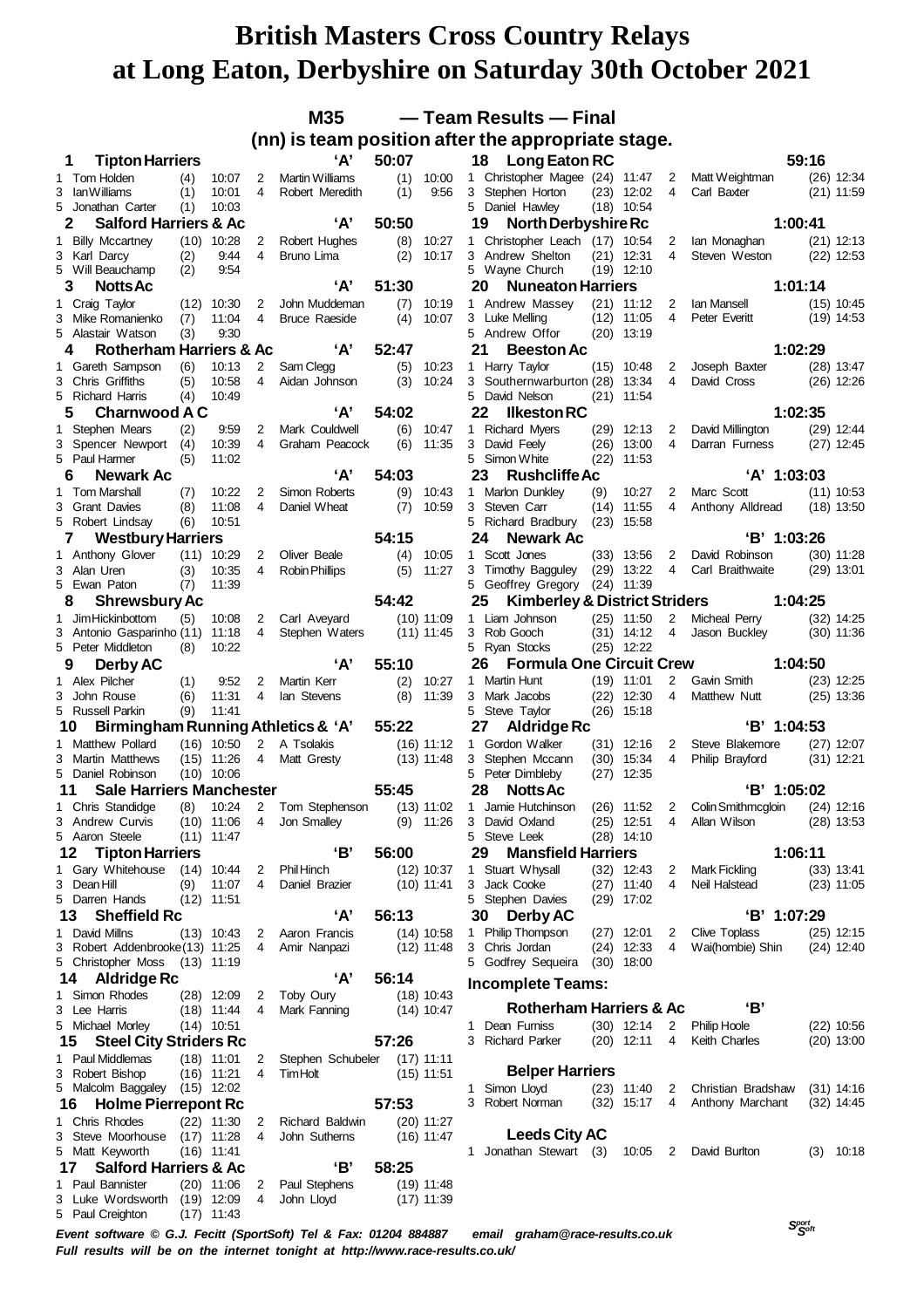|   |                                                               |            |                              |             | M35                        |              |                | -Team Results - Final                                                                                                                                |  |
|---|---------------------------------------------------------------|------------|------------------------------|-------------|----------------------------|--------------|----------------|------------------------------------------------------------------------------------------------------------------------------------------------------|--|
|   |                                                               |            |                              |             |                            |              |                | (nn) is team position after the appropriate stage.                                                                                                   |  |
|   | 1<br><b>Tipton Harriers</b>                                   |            |                              |             | A'                         | 50:07        |                | 59:16<br>18 Long Eaton RC                                                                                                                            |  |
|   | 1 Tom Holden                                                  | (4)        | 10:07                        | 2           | <b>Martin Williams</b>     | (1)          | 10:00          | 1 Christopher Magee (24) 11:47<br>Matt Weightman<br>$(26)$ 12:34<br>2                                                                                |  |
|   | 3 Ian Williams<br>5 Jonathan Carter                           | (1)<br>(1) | 10:01<br>10:03               | 4           | Robert Meredith            | (1)          | 9:56           | 4<br>3 Stephen Horton<br>$(23)$ 12:02<br>Carl Baxter<br>$(21)$ 11:59<br>5 Daniel Hawley<br>$(18)$ 10:54                                              |  |
|   | <b>Salford Harriers &amp; Ac</b><br>2                         |            |                              |             | 'А'                        | 50:50        |                | 1:00:41<br>19<br>North Derbyshire Rc                                                                                                                 |  |
|   | 1 Billy Mccartney                                             |            | $(10)$ 10:28                 | 2           | Robert Hughes              | (8)          | 10:27          | 1 Christopher Leach (17) 10:54<br>$(21)$ 12:13<br>2<br>lan Monaghan                                                                                  |  |
|   | 3 Karl Darcy                                                  | (2)        | 9:44                         | 4           | Bruno Lima                 | (2)          | 10:17          | 3 Andrew Shelton<br>$(21)$ 12:31<br>4<br>Steven Weston<br>$(22)$ 12:53                                                                               |  |
|   | 5 Will Beauchamp<br>3<br><b>Notts Ac</b>                      | (2)        | 9:54                         |             | 'А'                        | 51:30        |                | 5 Wayne Church<br>$(19)$ 12:10<br>20<br>1:01:14<br><b>Nuneaton Harriers</b>                                                                          |  |
|   | 1 Craig Taylor                                                | (12)       | 10:30                        | 2           | John Muddeman              | (7)          | 10:19          | 1 Andrew Massey<br>$(21)$ 11:12<br>Ian Mansell<br>$(15)$ 10:45<br>2                                                                                  |  |
|   | 3 Mike Romanienko                                             | (7)        | 11:04                        | 4           | <b>Bruce Raeside</b>       | (4)          | 10:07          | 4<br>3 Luke Melling<br>$(12)$ 11:05<br>Peter Everitt<br>$(19)$ 14:53                                                                                 |  |
|   | 5 Alastair Watson                                             | (3)        | 9:30                         |             |                            |              |                | 5 Andrew Offor<br>$(20)$ 13:19                                                                                                                       |  |
|   | <b>Rotherham Harriers &amp; Ac</b><br>4                       |            |                              |             | A'                         | 52:47        |                | 1:02:29<br>21<br><b>Beeston Ac</b>                                                                                                                   |  |
|   | 1 Gareth Sampson<br>3 Chris Griffiths                         | (6)<br>(5) | 10:13<br>10:58               | 2<br>4      | Sam Clegg<br>Aidan Johnson | (5)<br>(3)   | 10:23<br>10:24 | 1 Harry Taylor<br>$(15)$ 10:48<br>2<br>Joseph Baxter<br>$(28)$ 13:47<br>3 Southernwarburton (28)<br>13:34<br>4<br>$(26)$ 12:26<br>David Cross        |  |
|   | 5 Richard Harris                                              | (4)        | 10:49                        |             |                            |              |                | 5 David Nelson<br>$(21)$ 11:54                                                                                                                       |  |
|   | <b>Charnwood A C</b><br>5                                     |            |                              |             | 'А'                        | 54:02        |                | 1:02:35<br>22<br><b>Ilkeston RC</b>                                                                                                                  |  |
| 1 | Stephen Mears                                                 | (2)        | 9:59                         | 2           | Mark Couldwell             | (6)          | 10:47          | 1 Richard Myers<br>$(29)$ 12:13<br>David Millington<br>$(29)$ 12:44<br>2                                                                             |  |
|   | 3 Spencer Newport<br>5 Paul Harmer                            | (4)<br>(5) | 10:39<br>11:02               | 4           | Graham Peacock             | (6)          | 11:35          | 3 David Feely<br>13:00<br>4<br>$(27)$ 12:45<br>(26)<br>Darran Furness<br>5 Simon White<br>$(22)$ 11:53                                               |  |
|   | Newark Ac<br>6                                                |            |                              |             | 'А'                        | 54:03        |                | 23<br>$'A'$ 1:03:03<br><b>Rushcliffe Ac</b>                                                                                                          |  |
|   | 1 Tom Marshall                                                | (7)        | 10:22                        | 2           | Simon Roberts              | (9)          | 10:43          | 1 Marlon Dunkley<br>(9)<br>10:27<br>Marc Scott<br>$(11)$ 10:53<br>2                                                                                  |  |
|   | 3 Grant Davies                                                | (8)        | 11:08                        | 4           | Daniel Wheat               | (7)          | 10:59          | 3 Steven Carr<br>4<br>(14)<br>11:55<br>Anthony Alldread<br>$(18)$ 13:50                                                                              |  |
|   | 5 Robert Lindsay                                              | (6)        | 10:51                        |             |                            |              |                | 5<br><b>Richard Bradbury</b><br>15:58<br>(23)                                                                                                        |  |
|   | <b>Westbury Harriers</b><br>7<br>1 Anthony Glover             |            | $(11)$ 10:29                 | 2           | Oliver Beale               | 54:15<br>(4) | 10:05          | 'B' 1:03:26<br>24<br>Newark Ac<br>1 Scott Jones<br>David Robinson<br>$(33)$ 13:56<br>2<br>$(30)$ 11:28                                               |  |
|   | 3 Alan Uren                                                   | (3)        | 10:35                        | 4           | <b>Robin Phillips</b>      | (5)          | 11:27          | $(29)$ 13:22<br>4<br>3 Timothy Bagguley<br>Carl Braithwaite<br>$(29)$ 13:01                                                                          |  |
|   | 5 Ewan Paton                                                  | (7)        | 11:39                        |             |                            |              |                | 5 Geoffrey Gregory<br>$(24)$ 11:39                                                                                                                   |  |
|   | <b>Shrewsbury Ac</b><br>8                                     |            |                              |             |                            | 54:42        |                | 1:04:25<br>25<br><b>Kimberley &amp; District Striders</b>                                                                                            |  |
| 1 | Jim Hickinbottom                                              | (5)        | 10:08                        | 2           | Carl Aveyard               |              | $(10)$ 11:09   | 1 Liam Johnson<br>$(25)$ 11:50<br>2<br>Micheal Perry<br>$(32)$ 14:25                                                                                 |  |
|   | 3 Antonio Gasparinho (11)<br>5 Peter Middleton                | (8)        | 11:18<br>10:22               | 4           | Stephen Waters             |              | $(11)$ 11:45   | 3 Rob Gooch<br>$(31)$ 14:12<br>4<br>Jason Buckley<br>$(30)$ 11:36<br>5 Ryan Stocks<br>$(25)$ 12:22                                                   |  |
|   | 9<br>Derby AC                                                 |            |                              |             | A'                         | 55:10        |                | <b>Formula One Circuit Crew</b><br>1:04:50<br>26                                                                                                     |  |
|   | 1 Alex Pilcher                                                | (1)        | 9:52                         | 2           | Martin Kerr                | (2)          | 10:27          | 2<br>Martin Hunt<br>$(19)$ 11:01<br>Gavin Smith<br>$(23)$ 12:25<br>1                                                                                 |  |
|   | 3 John Rouse                                                  | (6)        | 11:31                        | 4           | lan Stevens                | (8)          | 11:39          | 3 Mark Jacobs<br>$(22)$ 12:30<br>4<br>Matthew Nutt<br>$(25)$ 13:36                                                                                   |  |
|   | 5 Russell Parkin                                              | (9)        | 11:41                        |             |                            |              |                | 5 Steve Taylor<br>$(26)$ 15:18                                                                                                                       |  |
|   | Birmingham Running Athletics & 'A'<br>10<br>1 Matthew Pollard |            | $(16)$ 10:50                 | $2^{\circ}$ | A Tsolakis                 | 55:22        | $(16)$ 11:12   | 'B' 1:04:53<br>27<br><b>Aldridge Rc</b><br>1 Gordon Walker<br>$(31)$ 12:16<br>2<br>Steve Blakemore<br>$(27)$ 12:07                                   |  |
|   | 3 Martin Matthews                                             |            | (15) 11:26                   | 4           | Matt Gresty                |              | $(13)$ 11:48   | 4<br>3 Stephen Mccann<br>$(30)$ 15:34<br>$(31)$ 12:21<br>Philip Brayford                                                                             |  |
|   | 5 Daniel Robinson                                             |            | $(10)$ 10:06                 |             |                            |              |                | 5 Peter Dimbleby<br>12:35<br>(27)                                                                                                                    |  |
|   | <b>Sale Harriers Manchester</b><br>11                         |            |                              |             |                            | 55:45        |                | 'B' 1:05:02<br>28<br><b>Notts Ac</b>                                                                                                                 |  |
|   | 1 Chris Standidge                                             | (8)        | 10:24                        | 2           | Tom Stephenson             |              | $(13)$ 11:02   | 1 Jamie Hutchinson<br>$(26)$ 11:52<br>2<br>Colin Smithmcgloin<br>$(24)$ 12:16<br>3 David Oxland<br>$(25)$ 12:51<br>Allan Wilson<br>$(28)$ 13:53<br>4 |  |
| 3 | Andrew Curvis<br>5 Aaron Steele                               |            | $(10)$ 11:06<br>$(11)$ 11:47 | 4           | Jon Smalley                |              | $(9)$ 11:26    | 5 Steve Leek<br>$(28)$ 14:10                                                                                                                         |  |
|   | <b>Tipton Harriers</b><br>12                                  |            |                              |             | 'В'                        | 56:00        |                | 29<br>1:06:11<br><b>Mansfield Harriers</b>                                                                                                           |  |
|   | 1 Gary Whitehouse                                             |            | $(14)$ 10:44                 | 2           | <b>Phil Hinch</b>          |              | $(12)$ 10:37   | 1 Stuart Whysall<br>$(32)$ 12:43<br>$(33)$ 13:41<br>2<br>Mark Fickling                                                                               |  |
|   | 3 Dean Hill                                                   | (9)        | 11:07                        | 4           | Daniel Brazier             |              | $(10)$ 11:41   | 3 Jack Cooke<br>Neil Halstead<br>$(27)$ 11:40<br>4<br>$(23)$ 11:05                                                                                   |  |
|   | 5 Darren Hands<br><b>Sheffield Rc</b><br>13                   |            | $(12)$ 11:51                 |             | 'А'                        | 56:13        |                | 5 Stephen Davies<br>$(29)$ 17:02<br>'B' 1:07:29<br><b>Derby AC</b><br>30                                                                             |  |
|   | 1 David Millns                                                |            | $(13)$ 10:43                 | 2           | Aaron Francis              |              | $(14)$ 10:58   | 1 Philip Thompson<br>$(27)$ 12:01<br>$(25)$ 12:15<br>Clive Toplass<br>2                                                                              |  |
|   | 3 Robert Addenbrooke (13) 11:25                               |            |                              | 4           | Amir Nanpazi               |              | $(12)$ 11:48   | 3 Chris Jordan<br>$(24)$ 12:33<br>4<br>$(24)$ 12:40<br>Wai(hombie) Shin                                                                              |  |
|   | 5 Christopher Moss (13) 11:19                                 |            |                              |             |                            |              |                | 5 Godfrey Sequeira<br>$(30)$ 18:00                                                                                                                   |  |
|   | 14<br>Aldridge Rc                                             |            |                              |             | A'                         | 56:14        |                | <b>Incomplete Teams:</b>                                                                                                                             |  |
|   | 1 Simon Rhodes                                                |            | $(28)$ 12:09                 | 2           | Toby Oury                  |              | $(18)$ 10:43   | 'В'<br><b>Rotherham Harriers &amp; Ac</b>                                                                                                            |  |
|   | 3 Lee Harris<br>5 Michael Morley                              |            | $(18)$ 11:44<br>$(14)$ 10:51 | 4           | Mark Fanning               |              | $(14)$ 10:47   | 1 Dean Furniss<br>$(30)$ 12:14<br>2<br><b>Philip Hoole</b><br>$(22)$ 10:56                                                                           |  |
|   | <b>Steel City Striders Rc</b><br>15                           |            |                              |             |                            | 57:26        |                | 3 Richard Parker<br>$(20)$ 12:11<br>$(20)$ 13:00<br>4<br>Keith Charles                                                                               |  |
|   | 1 Paul Middlemas                                              |            | $(18)$ 11:01                 | 2           | Stephen Schubeler          |              | $(17)$ 11:11   |                                                                                                                                                      |  |
|   | 3 Robert Bishop                                               |            | $(16)$ 11:21                 | 4           | <b>Tim Holt</b>            |              | $(15)$ 11:51   | <b>Belper Harriers</b>                                                                                                                               |  |
|   | 5 Malcolm Baggaley                                            |            | $(15)$ 12:02                 |             |                            | 57:53        |                | 1 Simon Lloyd<br>$(23)$ 11:40<br>Christian Bradshaw<br>$(31)$ 14:16<br>2<br>3 Robert Norman<br>$(32)$ 15:17<br>$(32)$ 14:45<br>4<br>Anthony Marchant |  |
|   | <b>Holme Pierrepont Rc</b><br>16<br>1 Chris Rhodes            |            | $(22)$ 11:30                 | 2           | Richard Baldwin            |              | $(20)$ 11:27   |                                                                                                                                                      |  |
|   | 3 Steve Moorhouse                                             |            | $(17)$ 11:28                 | 4           | John Sutherns              |              | $(16)$ 11:47   | <b>Leeds City AC</b>                                                                                                                                 |  |
|   | 5 Matt Keyworth                                               |            | $(16)$ 11:41                 |             |                            |              |                | 1 Jonathan Stewart (3)<br>10:05<br>David Burlton<br>$(3)$ 10:18<br>2                                                                                 |  |
|   | <b>Salford Harriers &amp; Ac</b><br>17                        |            |                              |             | 'В'                        | 58:25        |                |                                                                                                                                                      |  |
|   | 1 Paul Bannister<br>3 Luke Wordsworth                         |            | $(20)$ 11:06                 | 2           | Paul Stephens              |              | $(19)$ 11:48   |                                                                                                                                                      |  |
|   | 5 Paul Creighton                                              |            | $(19)$ 12:09<br>$(17)$ 11:43 | 4           | John Lloyd                 |              | $(17)$ 11:39   |                                                                                                                                                      |  |

 *Soft Event software © G.J. Fecitt (SportSoft) Tel & Fax: 01204 884887 email graham@race-results.co.uk Full results will be on the internet tonight at http://www.race-results.co.uk/*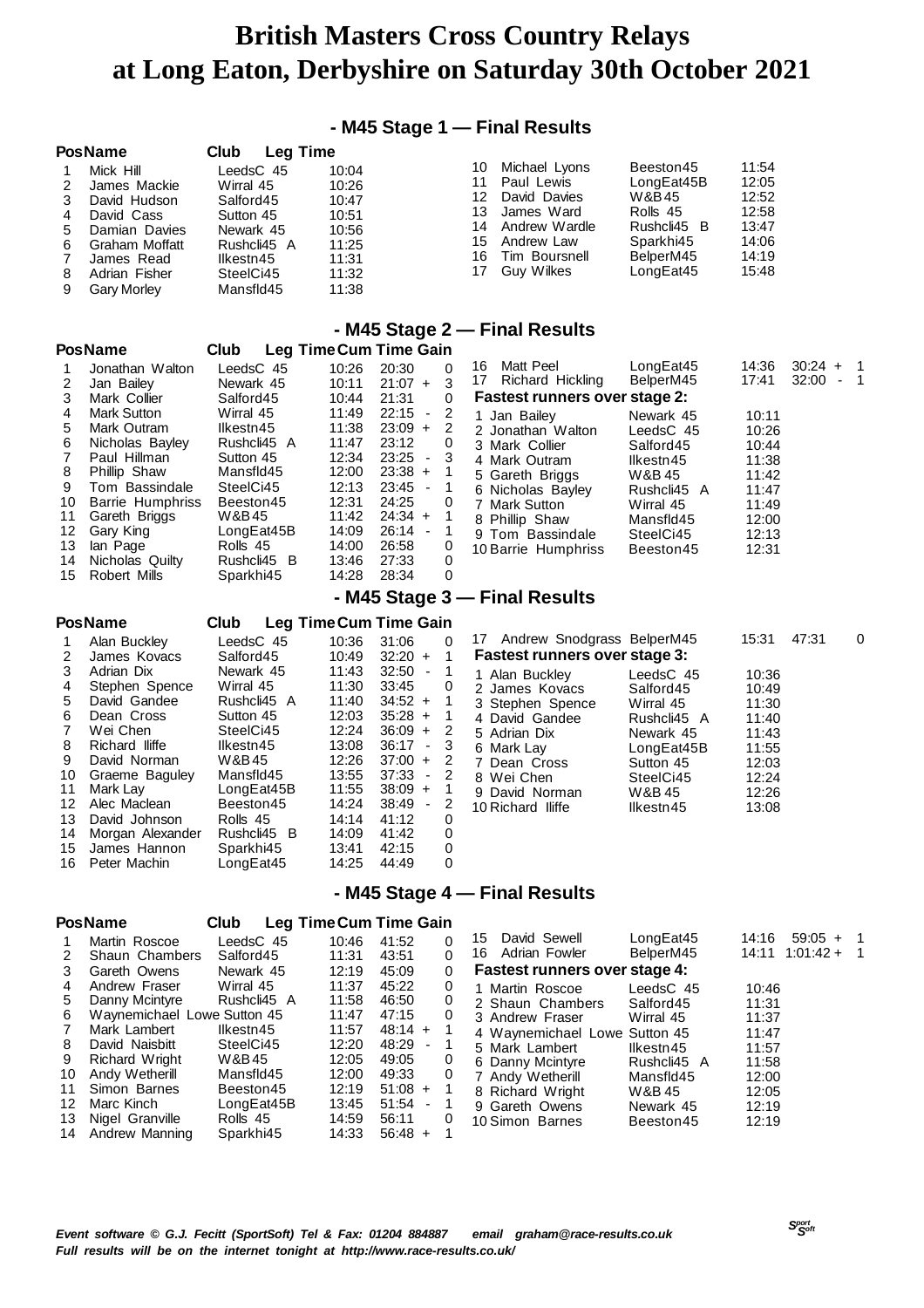### **- M45 Stage 1 — Final Results**

|              | <b>PosName</b>                                                                                                                                  | Club<br>Leg Time                                                                                                    |                                                                               |                                              |                                                                                                                         |                                                                                                    |                                                                      |
|--------------|-------------------------------------------------------------------------------------------------------------------------------------------------|---------------------------------------------------------------------------------------------------------------------|-------------------------------------------------------------------------------|----------------------------------------------|-------------------------------------------------------------------------------------------------------------------------|----------------------------------------------------------------------------------------------------|----------------------------------------------------------------------|
| 5.<br>6<br>8 | Mick Hill<br>James Mackie<br>David Hudson<br>David Cass<br>Damian Davies<br>Graham Moffatt<br>James Read<br>Adrian Fisher<br><b>Gary Morley</b> | LeedsC 45<br>Wirral 45<br>Salford45<br>Sutton 45<br>Newark 45<br>Rushcli45 A<br>Ilkestn45<br>SteelCi45<br>Mansfld45 | 10:04<br>10:26<br>10:47<br>10:51<br>10:56<br>11:25<br>11:31<br>11:32<br>11:38 | 10<br>11<br>12<br>13<br>14<br>15<br>16<br>17 | Michael Lyons<br>Paul Lewis<br>David Davies<br>James Ward<br>Andrew Wardle<br>Andrew Law<br>Tim Boursnell<br>Guy Wilkes | Beeston45<br>LongEat45B<br>W&B45<br>Rolls 45<br>Rushcli45 B<br>Sparkhi45<br>BelperM45<br>LongEat45 | 11:54<br>12:05<br>12:52<br>12:58<br>13:47<br>14:06<br>14:19<br>15:48 |

### **- M45 Stage 2 — Final Results**

|    | <b>PosName</b>          | <b>Club</b> |       | Leg Time Cum Time Gain        |          |                                      |             |       |             |      |
|----|-------------------------|-------------|-------|-------------------------------|----------|--------------------------------------|-------------|-------|-------------|------|
|    | Jonathan Walton         | LeedsC 45   | 10:26 | 20:30                         | $\Omega$ | Matt Peel<br>16                      | LongEat45   | 14:36 | $30:24 + 1$ |      |
|    | Jan Bailey              | Newark 45   | 10:11 | $21:07 +$                     | 3        | Richard Hickling<br>17               | BelperM45   | 17:41 | 32:00       | $-1$ |
| 3  | Mark Collier            | Salford45   | 10:44 | 21:31                         | 0        | <b>Fastest runners over stage 2:</b> |             |       |             |      |
| 4  | <b>Mark Sutton</b>      | Wirral 45   | 11:49 | 22:15<br>-2<br>$\blacksquare$ |          | 1 Jan Bailey                         | Newark 45   | 10:11 |             |      |
| 5. | Mark Outram             | Ilkestn45   | 11:38 | $23:09 +$                     | 2        | 2 Jonathan Walton                    | LeedsC 45   | 10:26 |             |      |
| 6  | Nicholas Bayley         | Rushcli45 A | 11:47 | 23:12                         | 0        | 3 Mark Collier                       | Salford45   | 10:44 |             |      |
|    | Paul Hillman            | Sutton 45   | 12:34 | $23:25 -$<br>-3               |          | 4 Mark Outram                        | Ilkestn45   | 11:38 |             |      |
| 8  | Phillip Shaw            | Mansfld45   | 12:00 | $23:38 +$                     |          | 5 Gareth Briggs                      | W&B 45      | 11:42 |             |      |
| 9  | Tom Bassindale          | SteelCi45   | 12:13 | $23:45 -$                     | -1       | 6 Nicholas Bayley                    | Rushcli45 A | 11:47 |             |      |
| 10 | <b>Barrie Humphriss</b> | Beeston45   | 12:31 | 24:25                         | 0        | 7 Mark Sutton                        | Wirral 45   | 11:49 |             |      |
| 11 | Gareth Briggs           | W&B45       | 11:42 | $24:34 +$                     |          | 8 Phillip Shaw                       | Mansfld45   | 12:00 |             |      |
| 12 | Gary King               | LongEat45B  | 14:09 | $26:14 -$                     |          | 9 Tom Bassindale                     | SteelCi45   | 12:13 |             |      |
| 13 | lan Page                | Rolls 45    | 14:00 | 26:58                         | 0        | 10 Barrie Humphriss                  | Beeston45   | 12:31 |             |      |
| 14 | Nicholas Quilty         | Rushcli45 B | 13:46 | 27:33                         | 0        |                                      |             |       |             |      |
| 15 | Robert Mills            | Sparkhi45   | 14:28 | 28:34                         | 0        |                                      |             |       |             |      |
|    |                         |             |       |                               |          | - M45 Stage 3 – Final Results        |             |       |             |      |
|    | <b>PosName</b>          | Club        |       | Lea TimeCum Time Gain         |          |                                      |             |       |             |      |

| 1  | Alan Buckley     | LeedsC 45   | 10:36 | 31:06                             | 0                       |
|----|------------------|-------------|-------|-----------------------------------|-------------------------|
| 2  | James Kovacs     | Salford45   | 10:49 | $32:20 +$                         | 1                       |
| 3  | Adrian Dix       | Newark 45   | 11:43 | $32:50 -$                         | 1                       |
| 4  | Stephen Spence   | Wirral 45   | 11:30 | 33:45                             | 0                       |
| 5  | David Gandee     | Rushcli45 A | 11:40 | $34:52 +$                         | 1                       |
| 6  | Dean Cross       | Sutton 45   | 12:03 | $35:28 +$                         | $\overline{\mathbf{1}}$ |
| 7  | Wei Chen         | SteelCi45   | 12:24 | $36:09 +$                         | 2                       |
| 8  | Richard lliffe   | Ilkestn45   | 13:08 | 36:17<br>$\overline{\phantom{a}}$ | 3                       |
| 9  | David Norman     | W&B 45      | 12:26 | $37:00 +$                         | 2                       |
| 10 | Graeme Baguley   | Mansfld45   | 13:55 | 37:33<br>$\sim$                   | 2                       |
| 11 | Mark Lay         | LongEat45B  | 11:55 | $38:09 +$                         | 1                       |
| 12 | Alec Maclean     | Beeston45   | 14:24 | 38:49<br>٠                        | 2                       |
| 13 | David Johnson    | Rolls 45    | 14:14 | 41:12                             | 0                       |
| 14 | Morgan Alexander | Rushcli45 B | 14:09 | 41:42                             | 0                       |
| 15 | James Hannon     | Sparkhi45   | 13:41 | 42:15                             | 0                       |
| 16 | Peter Machin     | LongEat45   | 14:25 | 44:49                             | 0                       |
|    |                  |             |       |                                   |                         |

| 17 Andrew Snodgrass BelperM45 |             | 15:31 47:31 | 0 |
|-------------------------------|-------------|-------------|---|
| Fastest runners over stage 3: |             |             |   |
| 1 Alan Buckley                | LeedsC 45   | 10:36       |   |
| 2 James Kovacs                | Salford45   | 10:49       |   |
| 3 Stephen Spence Wirral 45    |             | 11:30       |   |
| 4 David Gandee                | Rushcli45 A | 11:40       |   |
| 5 Adrian Dix                  | Newark 45   | 11:43       |   |
| 6 Mark Lay                    | LongEat45B  | 11:55       |   |
| 7 Dean Cross                  | Sutton 45   | 12:03       |   |
| 8 Wei Chen                    | SteelCi45   | 12:24       |   |
| 9 David Norman                | W&B 45      | 12:26       |   |
| 10 Richard Iliffe             | llkestn45   | 13:08       |   |

### **- M45 Stage 4 — Final Results**

| <b>PosName</b> | Club | Leg Time Cum Time Gain |
|----------------|------|------------------------|
|                |      |                        |

|    | Martin Roscoe               | LeedsC 45   | 10:46 | 41:52           | 0        | David Sewell<br>15                   | LongEat45   | 14:16 | 59:05<br>$+$ |     |
|----|-----------------------------|-------------|-------|-----------------|----------|--------------------------------------|-------------|-------|--------------|-----|
| 2  | Shaun Chambers              | Salford45   | 11:31 | 43:51           | 0        | Adrian Fowler<br>16                  | BelperM45   | 14:11 | $1:01:42+$   | - 1 |
| 3  | Gareth Owens                | Newark 45   | 12:19 | 45:09           | $\Omega$ | <b>Fastest runners over stage 4:</b> |             |       |              |     |
| 4  | Andrew Fraser               | Wirral 45   | 11:37 | 45:22           | 0        | 1 Martin Roscoe                      | LeedsC 45   | 10:46 |              |     |
| 5. | Danny Mcintyre              | Rushcli45 A | 11:58 | 46:50           | 0        | 2 Shaun Chambers                     | Salford45   | 11:31 |              |     |
| 6  | Waynemichael Lowe Sutton 45 |             | 11:47 | 47:15           | 0        | 3 Andrew Fraser                      | Wirral 45   | 11:37 |              |     |
|    | Mark Lambert                | Ilkestn45   | 11:57 | $48:14 +$       |          | 4 Waynemichael Lowe Sutton 45        |             | 11:47 |              |     |
| 8  | David Naisbitt              | SteelCi45   | 12:20 | 48:29<br>$\sim$ | -1       | 5 Mark Lambert                       | Ilkestn45   | 11:57 |              |     |
| 9  | Richard Wright              | W&B45       | 12:05 | 49:05           | 0        | 6 Danny Mcintyre                     | Rushcli45 A | 11:58 |              |     |
| 10 | Andy Wetherill              | Mansfld45   | 12:00 | 49:33           | 0        | 7 Andy Wetherill                     | Mansfld45   | 12:00 |              |     |
| 11 | Simon Barnes                | Beeston45   | 12:19 | $51:08 +$       | -1       | 8 Richard Wright                     | W&B 45      | 12:05 |              |     |
| 12 | Marc Kinch                  | LongExt45B  | 13:45 | $51:54 -$       |          | 9 Gareth Owens                       | Newark 45   | 12:19 |              |     |
| 13 | Nigel Granville             | Rolls 45    | 14:59 | 56:11           | 0        | 10 Simon Barnes                      | Beeston45   | 12:19 |              |     |
| 14 | Andrew Manning              | Sparkhi45   | 14:33 | $56:48 +$       |          |                                      |             |       |              |     |
|    |                             |             |       |                 |          |                                      |             |       |              |     |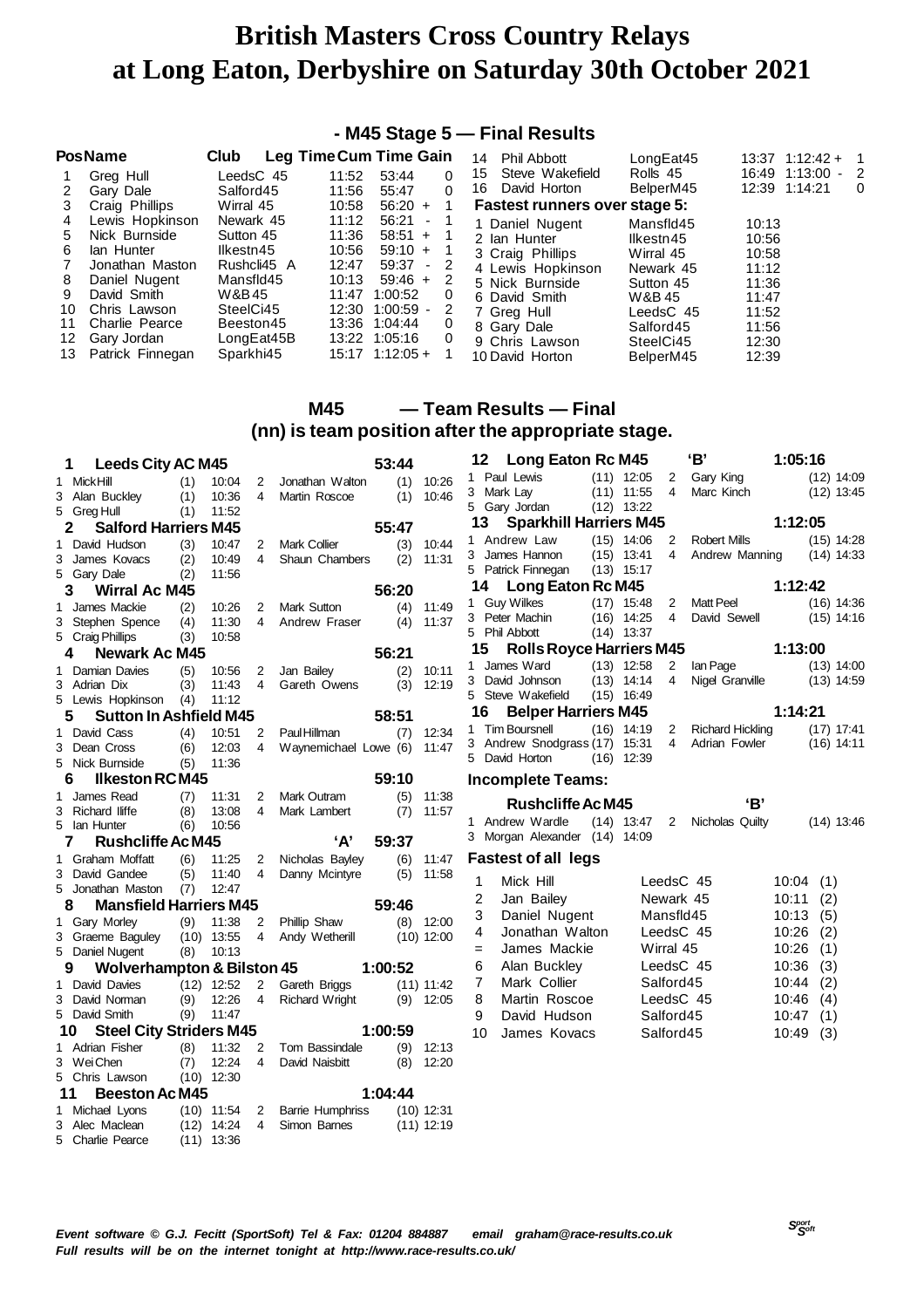### **- M45 Stage 5 — Final Results**

| <b>PosName</b>                                                                                                                                                                                                           | Club                                                                                                                          | Leg Time Cum Time Gain                                                                                                                                                                                            |                               | <b>Phil Abbott</b><br>14                                                                                                                                                        | LongEat45                                                                                                                   | $13:37$ $1:12:42 + 1$                                                                  |   |
|--------------------------------------------------------------------------------------------------------------------------------------------------------------------------------------------------------------------------|-------------------------------------------------------------------------------------------------------------------------------|-------------------------------------------------------------------------------------------------------------------------------------------------------------------------------------------------------------------|-------------------------------|---------------------------------------------------------------------------------------------------------------------------------------------------------------------------------|-----------------------------------------------------------------------------------------------------------------------------|----------------------------------------------------------------------------------------|---|
| Greg Hull<br>Gary Dale<br>Craig Phillips<br>3                                                                                                                                                                            | LeedsC 45<br>Salford45<br>Wirral 45                                                                                           | 11:52<br>53:44<br>55:47<br>11:56<br>$56:20 +$<br>10:58                                                                                                                                                            | 0<br>$\Omega$                 | Steve Wakefield<br>15<br>David Horton<br>16<br><b>Fastest runners over stage 5:</b>                                                                                             | Rolls 45<br>BelperM45                                                                                                       | 16:49 1:13:00<br>$-2$<br>12:39 1:14:21                                                 | 0 |
| Lewis Hopkinson<br>4<br>Nick Burnside<br>5<br>lan Hunter<br>6<br>Jonathan Maston<br>Daniel Nugent<br>8<br>David Smith<br>9<br>Chris Lawson<br>10<br>Charlie Pearce<br>11<br>Gary Jordan<br>12<br>Patrick Finnegan<br>13. | Newark 45<br>Sutton 45<br>Ilkestn45<br>Rushcli45 A<br>Mansfld45<br>W&B45<br>SteelCi45<br>Beeston45<br>LongEat45B<br>Sparkhi45 | 11:12<br>56:21<br>$\sim$<br>11:36<br>$58:51 + 1$<br>10:56<br>$59:10 +$<br>12:47<br>$59:37 - 2$<br>$59:46 +$<br>10:13<br>11:47 1:00:52<br>12:30 1:00:59 -<br>13:36 1:04:44<br>13:22 1:05:16<br>$15:17$ $1:12:05 +$ | -2<br>$\Omega$<br>2<br>0<br>0 | 1 Daniel Nugent<br>2 Ian Hunter<br>3 Craig Phillips<br>4 Lewis Hopkinson<br>5 Nick Burnside<br>6 David Smith<br>7 Greg Hull<br>8 Gary Dale<br>9 Chris Lawson<br>10 David Horton | Mansfld45<br>Ilkestn45<br>Wirral 45<br>Newark 45<br>Sutton 45<br>W&B 45<br>LeedsC 45<br>Salford45<br>SteelCi45<br>BelperM45 | 10:13<br>10:56<br>10:58<br>11:12<br>11:36<br>11:47<br>11:52<br>11:56<br>12:30<br>12:39 |   |

### **M45 — Team Results — Final (nn) is team position after the appropriate stage.**

|   | <b>Leeds City AC M45</b><br>1              |     |                              |                   |                         | 53:44   |              | 12                      | <b>Long Eaton Rc M45</b>                        |              |                | 'В'                                   | 1:05:16  |     |              |
|---|--------------------------------------------|-----|------------------------------|-------------------|-------------------------|---------|--------------|-------------------------|-------------------------------------------------|--------------|----------------|---------------------------------------|----------|-----|--------------|
|   | 1 MickHill                                 | (1) | 10:04                        | 2                 | Jonathan Walton         |         | $(1)$ 10:26  |                         | 1 Paul Lewis                                    | $(11)$ 12:05 | 2              | Gary King                             |          |     | $(12)$ 14:09 |
|   | 3 Alan Buckley                             | (1) | 10:36                        | $\overline{4}$    | Martin Roscoe           | (1)     | 10:46        |                         | 3 Mark Lay                                      | $(11)$ 11:55 | $\overline{4}$ | Marc Kinch                            |          |     | $(12)$ 13:45 |
|   | 5 Greg Hull                                | (1) | 11:52                        |                   |                         |         |              |                         | 5 Gary Jordan                                   | $(12)$ 13:22 |                |                                       |          |     |              |
|   | <b>Salford Harriers M45</b><br>2           |     |                              |                   |                         | 55:47   |              | 13                      | <b>Sparkhill Harriers M45</b>                   |              |                |                                       | 1:12:05  |     |              |
| 1 | David Hudson                               | (3) | 10:47                        | 2                 | Mark Collier            | (3)     | 10:44        |                         | 1 Andrew Law                                    | $(15)$ 14:06 | 2              | <b>Robert Mills</b>                   |          |     | $(15)$ 14:28 |
| 3 | James Kovacs                               | (2) | 10:49                        | $\overline{4}$    | Shaun Chambers          | (2)     | 11:31        |                         | 3 James Hannon                                  | $(15)$ 13:41 | 4              | Andrew Manning                        |          |     | $(14)$ 14:33 |
|   | 5 Gary Dale                                | (2) | 11:56                        |                   |                         |         |              |                         | 5 Patrick Finnegan                              | $(13)$ 15:17 |                |                                       |          |     |              |
|   | 3<br><b>Wirral Ac M45</b>                  |     |                              |                   |                         | 56:20   |              | 14                      | <b>Long Eaton Rc M45</b>                        |              |                |                                       | 1:12:42  |     |              |
| 1 | James Mackie                               | (2) | 10:26                        | 2                 | Mark Sutton             |         | $(4)$ 11:49  |                         | 1 Guy Wilkes                                    | $(17)$ 15:48 |                | 2 Matt Peel                           |          |     | $(16)$ 14:36 |
|   | 3 Stephen Spence                           | (4) | 11:30                        | $\overline{4}$    | Andrew Fraser           |         | $(4)$ 11:37  |                         | 3 Peter Machin                                  | $(16)$ 14:25 | 4              | David Sewell                          |          |     | $(15)$ 14:16 |
|   | 5 Craig Phillips                           | (3) | 10:58                        |                   |                         |         |              |                         | 5 Phil Abbott                                   | $(14)$ 13:37 |                |                                       |          |     |              |
|   | <b>Newark Ac M45</b><br>4                  |     |                              |                   |                         | 56:21   |              | 15                      | <b>Rolls Royce Harriers M45</b>                 |              |                |                                       | 1:13:00  |     |              |
| 1 | Damian Davies                              | (5) | 10:56                        | 2                 | Jan Bailey              | (2)     | 10:11        |                         | 1 James Ward                                    | $(13)$ 12:58 | 2              | lan Page                              |          |     | $(13)$ 14:00 |
|   | 3 Adrian Dix                               | (3) | 11:43                        | $\overline{4}$    | Gareth Owens            | (3)     | 12:19        |                         | 3 David Johnson                                 | $(13)$ 14:14 | 4              | Nigel Granville                       |          |     | $(13)$ 14:59 |
|   | 5 Lewis Hopkinson                          | (4) | 11:12                        |                   |                         |         |              |                         | 5 Steve Wakefield                               | $(15)$ 16:49 |                |                                       |          |     |              |
|   | <b>Sutton In Ashfield M45</b><br>5         |     |                              |                   |                         | 58:51   |              | 16                      | <b>Belper Harriers M45</b>                      |              |                |                                       | 1:14:21  |     |              |
|   | 1 David Cass                               | (4) | 10:51                        | $\overline{2}$    | Paul Hillman            | (7)     | 12:34        |                         | 1 Tim Boursnell                                 | $(16)$ 14:19 |                | 2 Richard Hickling<br>4 Adrian Fowler |          |     | $(17)$ 17:41 |
| 3 | Dean Cross                                 | (6) | 12:03                        | 4                 | Waynemichael Lowe (6)   |         | 11:47        |                         | 3 Andrew Snodgrass (17) 15:31<br>5 David Horton |              |                |                                       |          |     | $(16)$ 14:11 |
|   | 5 Nick Burnside                            | (5) | 11:36                        |                   |                         |         |              |                         |                                                 | $(16)$ 12:39 |                |                                       |          |     |              |
|   | <b>Ilkeston RCM45</b><br>6                 |     |                              |                   |                         | 59:10   |              |                         | <b>Incomplete Teams:</b>                        |              |                |                                       |          |     |              |
| 1 | James Read                                 | (7) | 11:31                        | 2                 | Mark Outram             | (5)     | 11:38        |                         | <b>Rushcliffe Ac M45</b>                        |              |                | 'В'                                   |          |     |              |
|   |                                            |     |                              | 4                 |                         |         |              |                         |                                                 |              |                |                                       |          |     |              |
|   | 3 Richard lliffe                           | (8) | 13:08                        |                   | Mark Lambert            | (7)     | 11:57        |                         |                                                 |              |                |                                       |          |     |              |
|   | 5 Ian Hunter                               | (6) | 10:56                        |                   |                         |         |              |                         | 1 Andrew Wardle                                 |              |                | (14) 13:47 2 Nicholas Quilty          |          |     | $(14)$ 13:46 |
|   | <b>Rushcliffe Ac M45</b><br>7              |     |                              |                   | A'                      | 59:37   |              |                         | 3 Morgan Alexander (14) 14:09                   |              |                |                                       |          |     |              |
|   | 1 Graham Moffatt                           | (6) | 11:25                        | 2                 | Nicholas Bayley         |         | $(6)$ 11:47  |                         | <b>Fastest of all legs</b>                      |              |                |                                       |          |     |              |
|   | 3 David Gandee                             | (5) | 11:40                        | 4                 | Danny Mcintyre          | (5)     | 11:58        | 1                       | Mick Hill                                       |              |                | LeedsC 45                             | 10:04(1) |     |              |
|   | 5 Jonathan Maston                          | (7) | 12:47                        |                   |                         |         |              | $\overline{\mathbf{c}}$ |                                                 |              |                | Newark 45                             | 10:11    | (2) |              |
|   | <b>Mansfield Harriers M45</b><br>8         |     |                              |                   |                         | 59:46   |              |                         | Jan Bailey<br>Daniel Nugent                     |              | Mansfld45      |                                       | 10:13    |     |              |
|   | 1 Gary Morley                              |     | $(9)$ 11:38                  | 2                 | Phillip Shaw            |         | $(8)$ 12:00  | 3<br>4                  | Jonathan Walton                                 |              |                |                                       |          | (5) |              |
|   | 3 Graeme Baguley                           |     | $(10)$ 13:55                 | 4                 | Andy Wetherill          |         | $(10)$ 12:00 |                         |                                                 |              |                | LeedsC 45                             | 10:26    | (2) |              |
|   | 5 Daniel Nugent                            | (8) | 10:13                        |                   |                         |         |              | $=$                     | James Mackie                                    |              | Wirral 45      |                                       | 10:26    | (1) |              |
|   | <b>Wolverhampton &amp; Bilston 45</b><br>9 |     |                              |                   |                         | 1:00:52 |              | 6                       | Alan Buckley                                    |              |                | LeedsC 45                             | 10:36    | (3) |              |
|   | 1 David Davies                             |     | $(12)$ 12:52                 | 2                 | Gareth Briggs           |         | $(11)$ 11:42 | 7                       | Mark Collier                                    |              | Salford45      |                                       | 10:44    | (2) |              |
| 3 | David Norman                               | (9) | 12:26                        | 4                 | <b>Richard Wright</b>   |         | $(9)$ 12:05  | 8                       | Martin Roscoe                                   |              |                | LeedsC 45                             | 10:46    | (4) |              |
|   | 5 David Smith                              | (9) | 11:47                        |                   |                         |         |              | 9                       | David Hudson                                    |              | Salford45      |                                       | 10:47    | (1) |              |
|   | <b>Steel City Striders M45</b><br>10       |     |                              |                   |                         | 1:00:59 |              | 10                      | James Kovacs                                    |              | Salford45      |                                       | 10:49    | (3) |              |
|   | 1 Adrian Fisher                            | (8) | 11:32                        | 2                 | Tom Bassindale          |         | $(9)$ 12:13  |                         |                                                 |              |                |                                       |          |     |              |
|   | 3 WeiChen                                  | (7) | 12:24                        | 4                 | David Naisbitt          | (8)     | 12:20        |                         |                                                 |              |                |                                       |          |     |              |
|   | 5 Chris Lawson                             |     | $(10)$ 12:30                 |                   |                         |         |              |                         |                                                 |              |                |                                       |          |     |              |
|   | <b>Beeston Ac M45</b><br>11                |     |                              |                   |                         | 1:04:44 |              |                         |                                                 |              |                |                                       |          |     |              |
| 3 | 1 Michael Lyons<br>Alec Maclean            |     | $(10)$ 11:54                 | $\mathbf{2}$<br>4 | <b>Barrie Humphriss</b> |         | $(10)$ 12:31 |                         |                                                 |              |                |                                       |          |     |              |
|   | 5 Charlie Pearce                           |     | $(12)$ 14:24<br>$(11)$ 13:36 |                   | Simon Barnes            |         | $(11)$ 12:19 |                         |                                                 |              |                |                                       |          |     |              |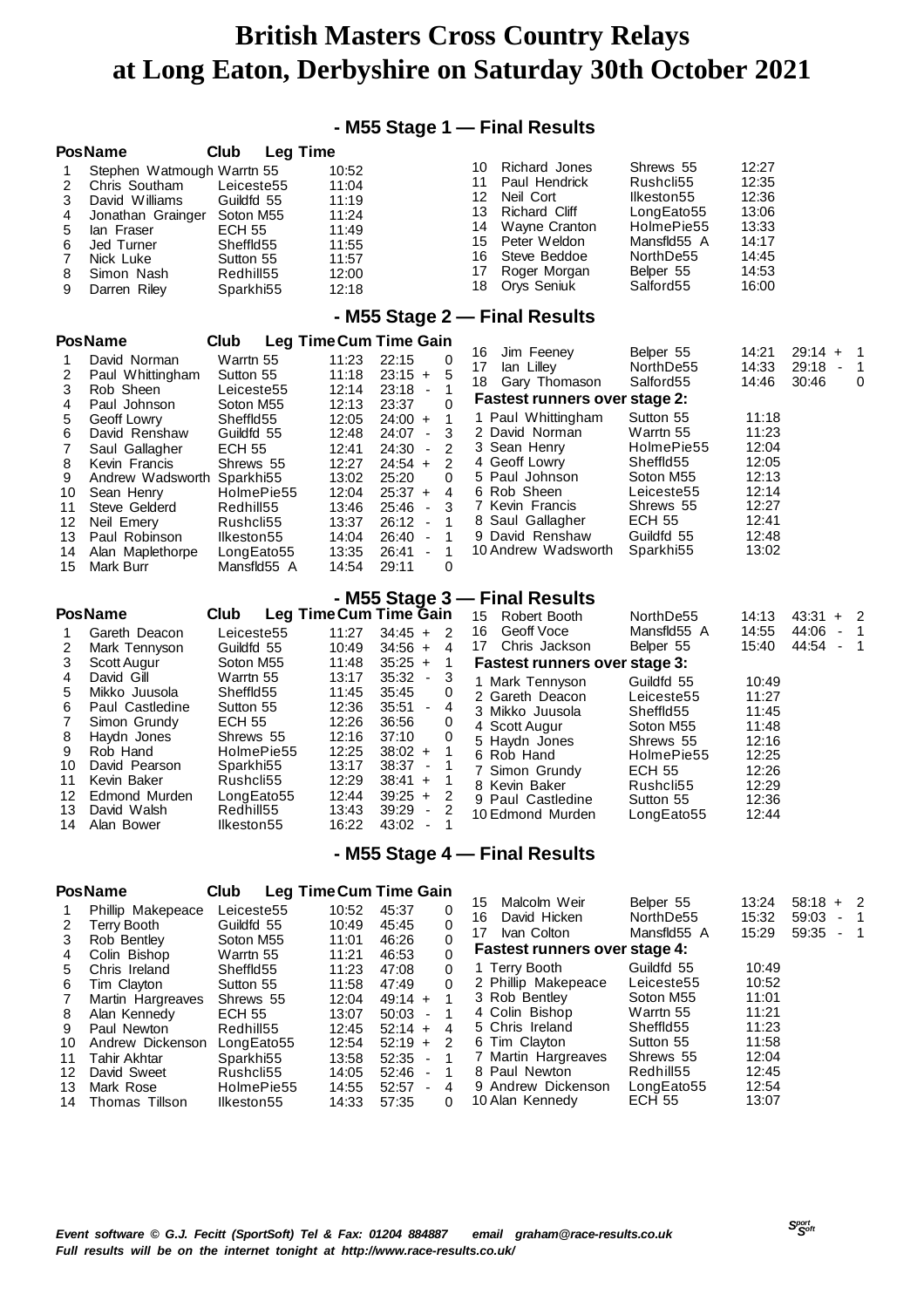### **- M55 Stage 1 — Final Results**

|                                                                               | <b>PosName</b>                                                                                                                                                                                                                                                | <b>Leg Time</b><br>Club                                                                                                                                                                                         |                                                                                                                                     |                                                                                                                                                                                                                                                                                                                                                                                                       |                                                                                                                                                                                                                                                                                                |                                                                                                                                                                                             |                                                                                                                   |                                                                 |                                                   |
|-------------------------------------------------------------------------------|---------------------------------------------------------------------------------------------------------------------------------------------------------------------------------------------------------------------------------------------------------------|-----------------------------------------------------------------------------------------------------------------------------------------------------------------------------------------------------------------|-------------------------------------------------------------------------------------------------------------------------------------|-------------------------------------------------------------------------------------------------------------------------------------------------------------------------------------------------------------------------------------------------------------------------------------------------------------------------------------------------------------------------------------------------------|------------------------------------------------------------------------------------------------------------------------------------------------------------------------------------------------------------------------------------------------------------------------------------------------|---------------------------------------------------------------------------------------------------------------------------------------------------------------------------------------------|-------------------------------------------------------------------------------------------------------------------|-----------------------------------------------------------------|---------------------------------------------------|
| 1<br>2<br>3<br>4<br>5<br>6<br>7<br>8<br>9                                     | Stephen Watmough Warrtn 55<br>Chris Southam<br>David Williams<br>Jonathan Grainger<br>lan Fraser<br>Jed Turner<br>Nick Luke<br>Simon Nash<br>Darren Riley                                                                                                     | Leiceste55<br>Guildfd 55<br>Soton M55<br><b>ECH 55</b><br>Sheffld55<br>Sutton 55<br>Redhill55<br>Sparkhi55                                                                                                      | 10:52<br>11:04<br>11:19<br>11:24<br>11:49<br>11:55<br>11:57<br>12:00<br>12:18                                                       |                                                                                                                                                                                                                                                                                                                                                                                                       | Richard Jones<br>10<br>11<br>Paul Hendrick<br>12<br>Neil Cort<br>13<br>Richard Cliff<br>14<br>Wayne Cranton<br>15<br>Peter Weldon<br>16<br>Steve Beddoe<br>Roger Morgan<br>17<br>Orys Seniuk<br>18                                                                                             | Shrews 55<br>Rushcli55<br>Ilkeston55<br>LongEato55<br>HolmePie55<br>Mansfld55 A<br>NorthDe55<br>Belper 55<br>Salford55                                                                      | 12:27<br>12:35<br>12:36<br>13:06<br>13:33<br>14:17<br>14:45<br>14:53<br>16:00                                     |                                                                 |                                                   |
|                                                                               |                                                                                                                                                                                                                                                               |                                                                                                                                                                                                                 |                                                                                                                                     |                                                                                                                                                                                                                                                                                                                                                                                                       | - M55 Stage 2 - Final Results                                                                                                                                                                                                                                                                  |                                                                                                                                                                                             |                                                                                                                   |                                                                 |                                                   |
|                                                                               | <b>PosName</b>                                                                                                                                                                                                                                                | Club                                                                                                                                                                                                            |                                                                                                                                     | <b>Leg Time Cum Time Gain</b>                                                                                                                                                                                                                                                                                                                                                                         |                                                                                                                                                                                                                                                                                                |                                                                                                                                                                                             |                                                                                                                   |                                                                 |                                                   |
| 1<br>2<br>3<br>4<br>5<br>6<br>7<br>8<br>9<br>10<br>11<br>12<br>13<br>14<br>15 | David Norman<br>Paul Whittingham<br>Rob Sheen<br>Paul Johnson<br>Geoff Lowry<br>David Renshaw<br>Saul Gallagher<br>Kevin Francis<br>Andrew Wadsworth Sparkhi55<br>Sean Henry<br>Steve Gelderd<br>Neil Emery<br>Paul Robinson<br>Alan Maplethorpe<br>Mark Burr | Warrtn 55<br>Sutton 55<br>Leiceste <sub>55</sub><br>Soton M55<br>Sheffld55<br>Guildfd 55<br><b>ECH 55</b><br>Shrews 55<br>HolmePie55<br>Redhill55<br>Rushcli55<br>Ilkeston55<br>LongEato55<br>Mansfld55 A       | 11:23<br>11:18<br>12:14<br>12:13<br>12:05<br>12:48<br>12:41<br>12:27<br>13:02<br>12:04<br>13:46<br>13:37<br>14:04<br>13:35<br>14:54 | 22:15<br>0<br>5<br>$23:15 +$<br>23:18<br>-1<br>$\overline{\phantom{a}}$<br>23:37<br>0<br>$24:00 +$<br>1<br>3<br>24:07<br>$\blacksquare$<br>24:30<br>2<br>$\blacksquare$<br>2<br>$24:54 +$<br>25:20<br>0<br>$25:37 +$<br>4<br>25:46<br>3<br>$\overline{\phantom{a}}$<br>26:12<br>$\blacksquare$<br>1<br>26:40<br>1<br>$\overline{\phantom{a}}$<br>1<br>26:41<br>$\overline{\phantom{a}}$<br>29:11<br>0 | Jim Feeney<br>16<br>17<br>lan Lilley<br>18<br>Gary Thomason<br><b>Fastest runners over stage 2:</b><br>1 Paul Whittingham<br>2 David Norman<br>3 Sean Henry<br>4 Geoff Lowry<br>5 Paul Johnson<br>6 Rob Sheen<br>7 Kevin Francis<br>8 Saul Gallagher<br>9 David Renshaw<br>10 Andrew Wadsworth | Belper 55<br>NorthDe55<br>Salford55<br>Sutton 55<br>Warrtn 55<br>HolmePie55<br>Sheffld55<br>Soton M55<br>Leiceste55<br>Shrews 55<br><b>ECH 55</b><br>Guildfd 55<br>Sparkhi <sub>55</sub>    | 14:21<br>14:33<br>14:46<br>11:18<br>11:23<br>12:04<br>12:05<br>12:13<br>12:14<br>12:27<br>12:41<br>12:48<br>13:02 | $29:14 +$<br>29:18<br>$\overline{\phantom{a}}$<br>30:46         | 1<br>1<br>0                                       |
|                                                                               |                                                                                                                                                                                                                                                               |                                                                                                                                                                                                                 |                                                                                                                                     | - M55 Stage 3 –                                                                                                                                                                                                                                                                                                                                                                                       | - Final Results                                                                                                                                                                                                                                                                                |                                                                                                                                                                                             |                                                                                                                   |                                                                 |                                                   |
| 1<br>2<br>3<br>4<br>5<br>6<br>7<br>8<br>9<br>10<br>11<br>12<br>13<br>14       | <b>PosName</b><br>Gareth Deacon<br>Mark Tennyson<br>Scott Augur<br>David Gill<br>Mikko Juusola<br>Paul Castledine<br>Simon Grundy<br>Haydn Jones<br>Rob Hand<br>David Pearson<br>Kevin Baker<br>Edmond Murden<br>David Walsh<br>Alan Bower                    | Club<br>Leiceste <sub>55</sub><br>Guildfd 55<br>Soton M55<br>Warrtn 55<br>Sheffld55<br>Sutton 55<br><b>ECH 55</b><br>Shrews 55<br>HolmePie55<br>Sparkhi55<br>Rushcli55<br>LongEato55<br>Redhill55<br>llkeston55 | 11:27<br>10:49<br>11:48<br>13:17<br>11:45<br>12:36<br>12:26<br>12:16<br>12:25<br>13:17<br>12:29<br>12:44<br>13:43<br>16:22          | Leg Time Cum Time Gain<br>$34:45 +$<br>2<br>$34:56 +$<br>4<br>$35:25 +$<br>1<br>35:32<br>3<br>$\overline{\phantom{a}}$<br>35:45<br>0<br>35:51<br>4<br>$\overline{\phantom{a}}$<br>0<br>36:56<br>37:10<br>0<br>$38:02 +$<br>1<br>38:37<br>1<br>$\overline{\phantom{a}}$<br>$38:41 +$<br>1<br>2<br>$39:25 +$<br>39:29<br>2<br>$\overline{\phantom{a}}$<br>43:02<br>1<br>$\overline{\phantom{a}}$        | 15<br>Robert Booth<br>Geoff Voce<br>16<br>17<br>Chris Jackson<br><b>Fastest runners over stage 3:</b><br>1 Mark Tennyson<br>2 Gareth Deacon<br>3 Mikko Juusola<br>4 Scott Augur<br>5 Haydn Jones<br>6 Rob Hand<br>7<br>Simon Grundy<br>8 Kevin Baker<br>9 Paul Castledine<br>10 Edmond Murden  | NorthDe55<br>Mansfld55 A<br>Belper 55<br>Guildfd 55<br>Leiceste <sub>55</sub><br>Sheffld55<br>Soton M55<br>Shrews 55<br>HolmePie55<br><b>ECH 55</b><br>Rushcli55<br>Sutton 55<br>LongEato55 | 14:13<br>14:55<br>15:40<br>10:49<br>11:27<br>11:45<br>11:48<br>12:16<br>12:25<br>12:26<br>12:29<br>12:36<br>12:44 | $43:31 +$<br>44:06<br>$\blacksquare$<br>44:54<br>$\blacksquare$ | - 2<br>$\overline{1}$<br>$\overline{\phantom{1}}$ |
|                                                                               |                                                                                                                                                                                                                                                               |                                                                                                                                                                                                                 |                                                                                                                                     |                                                                                                                                                                                                                                                                                                                                                                                                       | - M55 Stage 4 – Final Results                                                                                                                                                                                                                                                                  |                                                                                                                                                                                             |                                                                                                                   |                                                                 |                                                   |
|                                                                               | <b>PosName</b>                                                                                                                                                                                                                                                | Club                                                                                                                                                                                                            |                                                                                                                                     | <b>Leg Time Cum Time Gain</b>                                                                                                                                                                                                                                                                                                                                                                         |                                                                                                                                                                                                                                                                                                |                                                                                                                                                                                             |                                                                                                                   |                                                                 |                                                   |
| 1<br>2<br>3                                                                   | Phillip Makepeace<br><b>Terry Booth</b>                                                                                                                                                                                                                       | Leiceste55<br>Guildfd 55                                                                                                                                                                                        | 10:52<br>10:49                                                                                                                      | 45:37<br>0<br>45:45<br>0<br>46:26                                                                                                                                                                                                                                                                                                                                                                     | Malcolm Weir<br>15<br>David Hicken<br>16<br>Ivan Colton<br>17                                                                                                                                                                                                                                  | Belper 55<br>NorthDe55<br>Mansfld55 A                                                                                                                                                       | 13:24<br>15:32<br>15:29                                                                                           | $58:18 + 2$<br>59:03<br>59:35                                   | $-1$<br>- 1                                       |

14 Thomas Tillson

Mark Rose HolmePie55 14:55 52:57 - 4

 Andrew Dickenson LongEato55 12:54 52:19 + 2 11 Tahir Akhtar Sparkhi55 13:58<br>12 David Sweet Rushcli55 14:05 12 David Sparkhi55 13:58 52:35 - 1<br>
12 Rushcli55 14:05 52:46 - 1<br>
14:55 52:57 - 4

 Chris Ireland Sheffld55 11:23 6 Tim Clayton Sutton 55 11:58<br>7 Martin Hargreaves Shrews 55 12:04 Martin Hargreaves Shrews 55 12:04 8 Paul Newton Redhill55 12:45<br>12:54 9 Andrew Dickenson LongEato55 12:54<br>10 Alan Kennedy ECH 55 13:07 9 Andrew Dickenson LongEato55 12:54<br>10 Alan Kennedy ECH 55 13:07 10 Alan Kennedy